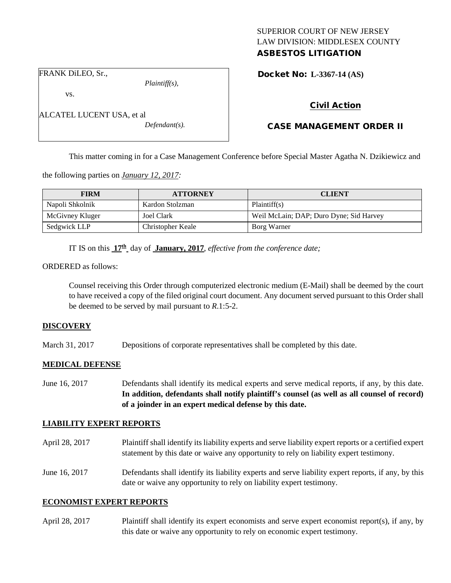## SUPERIOR COURT OF NEW JERSEY LAW DIVISION: MIDDLESEX COUNTY ASBESTOS LITIGATION

FRANK DiLEO, Sr.,

ALCATEL LUCENT USA, et al

vs.

*Plaintiff(s),*

*Defendant(s).*

Docket No: **L-3367-14 (AS)** 

## Civil Action

# CASE MANAGEMENT ORDER II

This matter coming in for a Case Management Conference before Special Master Agatha N. Dzikiewicz and

the following parties on *January 12, 2017:*

| <b>FIRM</b>     | <b>ATTORNEY</b>   | <b>CLIENT</b>                           |
|-----------------|-------------------|-----------------------------------------|
| Napoli Shkolnik | Kardon Stolzman   | Plaintiff(s)                            |
| McGivney Kluger | Joel Clark        | Weil McLain; DAP; Duro Dyne; Sid Harvey |
| Sedgwick LLP    | Christopher Keale | Borg Warner                             |

IT IS on this **17th** day of **January, 2017**, *effective from the conference date;*

ORDERED as follows:

Counsel receiving this Order through computerized electronic medium (E-Mail) shall be deemed by the court to have received a copy of the filed original court document. Any document served pursuant to this Order shall be deemed to be served by mail pursuant to *R*.1:5-2.

#### **DISCOVERY**

March 31, 2017 Depositions of corporate representatives shall be completed by this date.

#### **MEDICAL DEFENSE**

June 16, 2017 Defendants shall identify its medical experts and serve medical reports, if any, by this date. **In addition, defendants shall notify plaintiff's counsel (as well as all counsel of record) of a joinder in an expert medical defense by this date.**

#### **LIABILITY EXPERT REPORTS**

- April 28, 2017 Plaintiff shall identify its liability experts and serve liability expert reports or a certified expert statement by this date or waive any opportunity to rely on liability expert testimony.
- June 16, 2017 Defendants shall identify its liability experts and serve liability expert reports, if any, by this date or waive any opportunity to rely on liability expert testimony.

#### **ECONOMIST EXPERT REPORTS**

April 28, 2017 Plaintiff shall identify its expert economists and serve expert economist report(s), if any, by this date or waive any opportunity to rely on economic expert testimony.